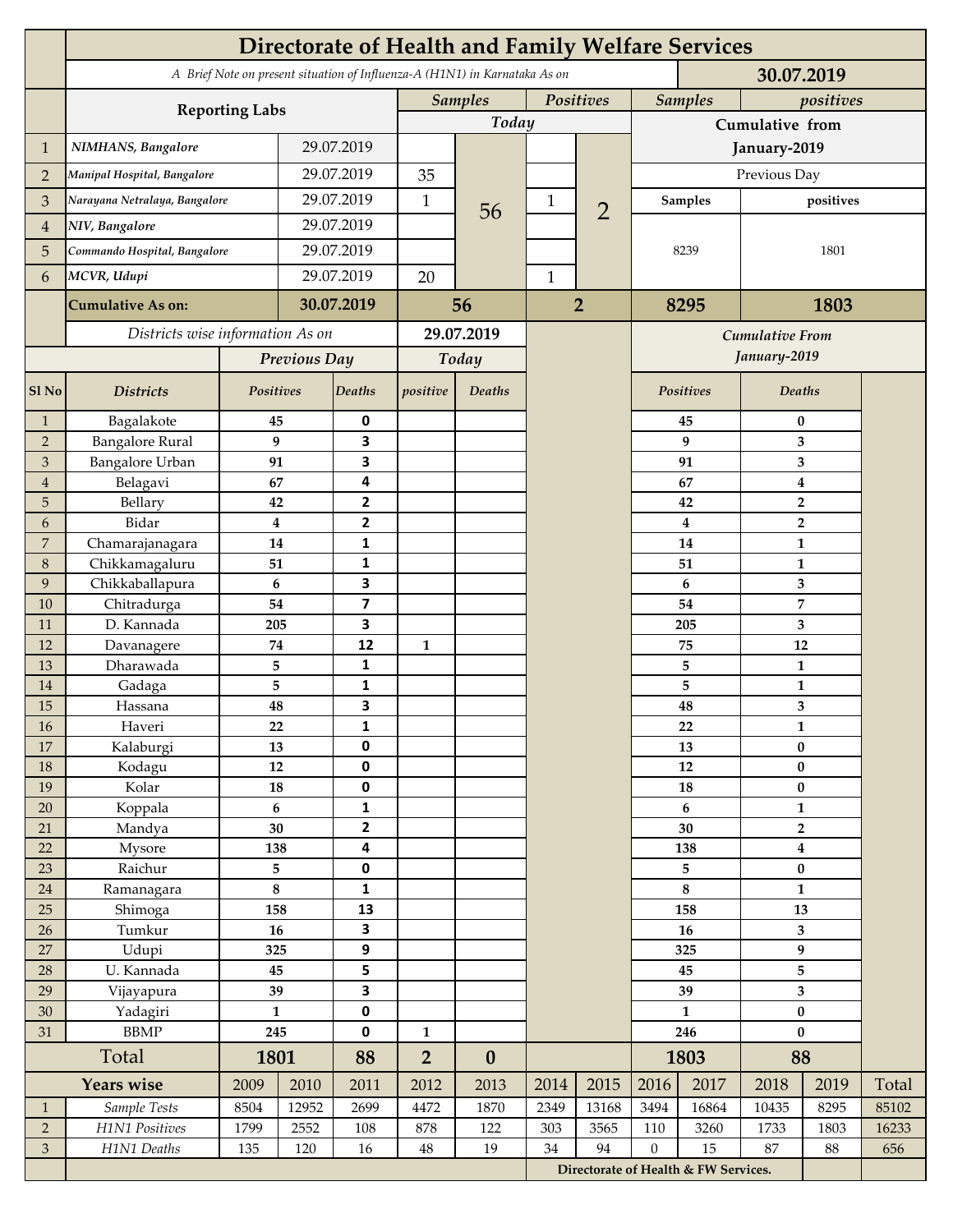|                                | <b>Directorate of Health and Family Welfare Services</b> |                                                                            |                      |                         |                             |              |                |                                      |                  |                         |                                    |               |                |  |
|--------------------------------|----------------------------------------------------------|----------------------------------------------------------------------------|----------------------|-------------------------|-----------------------------|--------------|----------------|--------------------------------------|------------------|-------------------------|------------------------------------|---------------|----------------|--|
|                                |                                                          | A Brief Note on present situation of Influenza-A (H1N1) in Karnataka As on |                      |                         |                             |              | 30.07.2019     |                                      |                  |                         |                                    |               |                |  |
|                                | <b>Reporting Labs</b>                                    |                                                                            |                      |                         | Positives<br><b>Samples</b> |              |                |                                      | <b>Samples</b>   | positives               |                                    |               |                |  |
|                                |                                                          |                                                                            |                      |                         |                             | Today        |                |                                      |                  | Cumulative from         |                                    |               |                |  |
| 1                              | NIMHANS, Bangalore                                       | 29.07.2019                                                                 |                      |                         |                             |              |                | January-2019                         |                  |                         |                                    |               |                |  |
| $\overline{2}$                 | Manipal Hospital, Bangalore                              |                                                                            | 29.07.2019           |                         | 35                          |              |                |                                      | Previous Day     |                         |                                    |               |                |  |
| 3                              | Narayana Netralaya, Bangalore                            |                                                                            | 29.07.2019           |                         | 1                           | $\mathbf{1}$ |                |                                      |                  | <b>Samples</b>          | positives                          |               |                |  |
| 4                              | NIV, Bangalore                                           |                                                                            | 29.07.2019           |                         |                             | 56           |                | $\overline{2}$                       | 8239             |                         |                                    |               |                |  |
| 5                              | Commando Hospital, Bangalore                             |                                                                            | 29.07.2019           |                         |                             |              |                |                                      |                  |                         |                                    | 1801          |                |  |
|                                | MCVR, Udupi                                              |                                                                            | 29.07.2019           |                         | 20                          |              | $\mathbf{1}$   |                                      |                  |                         |                                    |               |                |  |
| 6                              | <b>Cumulative As on:</b>                                 |                                                                            |                      |                         |                             |              |                |                                      |                  |                         |                                    |               |                |  |
|                                |                                                          |                                                                            | 30.07.2019           |                         | 56                          |              | $\overline{2}$ |                                      | 8295<br>1803     |                         |                                    |               |                |  |
|                                | Districts wise information As on                         |                                                                            |                      |                         |                             | 29.07.2019   |                |                                      |                  | Cumulative From         |                                    |               |                |  |
|                                |                                                          | Previous Day                                                               |                      | Today                   |                             |              |                |                                      |                  | January-2019            |                                    |               |                |  |
| Sl <sub>No</sub>               | <i>Districts</i>                                         | Positives                                                                  |                      | Deaths                  | positive                    | Deaths       |                |                                      |                  | Positives               |                                    | <b>Deaths</b> |                |  |
| $\mathbf{1}$                   | Bagalakote                                               | 45                                                                         |                      | 0                       |                             |              |                |                                      | $\pmb{0}$<br>45  |                         |                                    |               |                |  |
| $\overline{2}$                 | <b>Bangalore Rural</b>                                   | 9                                                                          |                      | 3                       |                             |              |                |                                      |                  | 9                       | 3                                  |               |                |  |
| 3                              | <b>Bangalore Urban</b>                                   | 91                                                                         |                      | 3                       |                             |              |                |                                      |                  | 91                      | 3                                  |               |                |  |
| $\overline{4}$<br>5            | Belagavi<br>Bellary                                      | 67<br>42                                                                   |                      | 4<br>$\mathbf{2}$       |                             |              |                |                                      |                  | 67<br>42                | $\boldsymbol{4}$<br>$\overline{2}$ |               |                |  |
| 6                              | Bidar                                                    | $\boldsymbol{4}$                                                           |                      | $\overline{\mathbf{2}}$ |                             |              |                |                                      |                  | 4                       | $\overline{2}$                     |               |                |  |
| 7                              | Chamarajanagara                                          | 14                                                                         |                      | $\mathbf 1$             |                             |              |                |                                      |                  | 14                      | $\mathbf{1}$                       |               |                |  |
| $\,8\,$                        | Chikkamagaluru                                           | 51                                                                         |                      | $\mathbf{1}$            |                             |              |                |                                      |                  | 51                      | $\mathbf{1}$                       |               |                |  |
| 9                              | Chikkaballapura                                          | 6                                                                          |                      | 3                       |                             |              |                |                                      |                  | 6                       | 3                                  |               |                |  |
| 10                             | Chitradurga                                              | 54                                                                         |                      | $\overline{\mathbf{z}}$ |                             |              |                |                                      |                  | 54                      | 7                                  |               |                |  |
| 11                             | D. Kannada                                               | 205                                                                        |                      | 3                       |                             |              |                |                                      |                  | 205                     | 3                                  |               |                |  |
| 12                             | Davanagere                                               | 74                                                                         |                      | 12                      | $\mathbf{1}$                |              |                |                                      |                  | 75                      | 12                                 |               |                |  |
| 13                             | Dharawada                                                | 5                                                                          |                      | 1                       |                             |              |                |                                      |                  | 5<br>$\mathbf{1}$<br>5  |                                    |               |                |  |
| 14<br>15                       | Gadaga<br>Hassana                                        | 5<br>48                                                                    |                      | $\mathbf 1$<br>3        |                             |              |                |                                      |                  | $\mathbf{1}$<br>48<br>3 |                                    |               |                |  |
| $16\,$                         | Haveri                                                   | 22                                                                         |                      | 1                       |                             |              |                |                                      |                  | 22                      |                                    | $\mathbf{1}$  |                |  |
| 17                             | Kalaburgi                                                | 13                                                                         |                      | 0                       |                             |              |                |                                      |                  | 13                      |                                    | $\pmb{0}$     |                |  |
| 18                             | Kodagu                                                   | 12                                                                         |                      | 0                       |                             |              |                |                                      | 12               |                         | $\pmb{0}$                          |               |                |  |
| 19                             | Kolar                                                    | 18                                                                         |                      | 0                       |                             |              |                |                                      | 18               |                         | $\pmb{0}$                          |               |                |  |
| 20                             | Koppala                                                  | $6\phantom{1}$                                                             |                      | $\mathbf 1$             |                             |              |                |                                      | $6\phantom{.}6$  |                         | $\mathbf{1}$                       |               |                |  |
| 21                             | Mandya                                                   | 30                                                                         |                      | $\mathbf{2}$            |                             |              |                |                                      | 30               |                         | $\overline{\mathbf{2}}$            |               |                |  |
| 22                             | Mysore                                                   | 138                                                                        |                      | 4                       |                             |              |                |                                      | 138              |                         | $\bf{4}$                           |               |                |  |
| $23\,$<br>24                   | Raichur<br>Ramanagara                                    | 5<br>8                                                                     |                      | 0<br>$\mathbf 1$        |                             |              |                |                                      | 5<br>${\bf 8}$   |                         | $\pmb{0}$<br>$\mathbf{1}$          |               |                |  |
| 25                             | Shimoga                                                  | 158                                                                        |                      | 13                      |                             |              |                |                                      |                  | 158                     | 13                                 |               |                |  |
| 26                             | Tumkur                                                   | 16                                                                         |                      | 3                       |                             |              |                |                                      | 16               |                         | 3                                  |               |                |  |
| $27\,$                         | Udupi                                                    | 325                                                                        |                      | 9                       |                             |              |                |                                      | 325              |                         | 9                                  |               |                |  |
| $28\,$                         | U. Kannada                                               | 45                                                                         |                      | 5                       |                             |              |                |                                      | 45               |                         | 5                                  |               |                |  |
| 29                             | Vijayapura                                               | 39                                                                         |                      | 3                       |                             |              |                |                                      | 39               |                         | 3                                  |               |                |  |
| 30                             | Yadagiri                                                 | $\mathbf{1}$                                                               |                      | 0<br>0                  |                             |              |                |                                      | $\mathbf{1}$     |                         | $\pmb{0}$                          |               |                |  |
| 31                             | <b>BBMP</b>                                              |                                                                            | 245                  |                         | $\mathbf{1}$                |              |                |                                      | 246              |                         | $\bf{0}$                           |               |                |  |
|                                | Total                                                    |                                                                            | 1801<br>2009<br>2010 |                         | $\overline{2}$              | $\bf{0}$     |                |                                      |                  | 1803                    | 88                                 |               |                |  |
|                                | Years wise                                               |                                                                            |                      | 2011                    | 2012                        | 2013         | 2014           | 2015                                 | 2016             | 2017                    | 2018                               | 2019          | Total          |  |
| $\mathbf{1}$<br>$\overline{2}$ | Sample Tests<br>H1N1 Positives                           | 8504<br>1799                                                               | 12952<br>2552        | 2699<br>108             | 4472<br>878                 | 1870<br>122  | 2349<br>303    | 13168<br>3565                        | 3494<br>110      | 16864<br>3260           | 10435<br>1733                      | 8295<br>1803  | 85102<br>16233 |  |
| $\mathfrak{Z}$                 | H1N1 Deaths                                              | 135                                                                        | 120                  | 16                      | $48\,$                      | 19           | 34             | 94                                   | $\boldsymbol{0}$ | 15                      | 87                                 | 88            | 656            |  |
|                                |                                                          |                                                                            |                      |                         |                             |              |                | Directorate of Health & FW Services. |                  |                         |                                    |               |                |  |